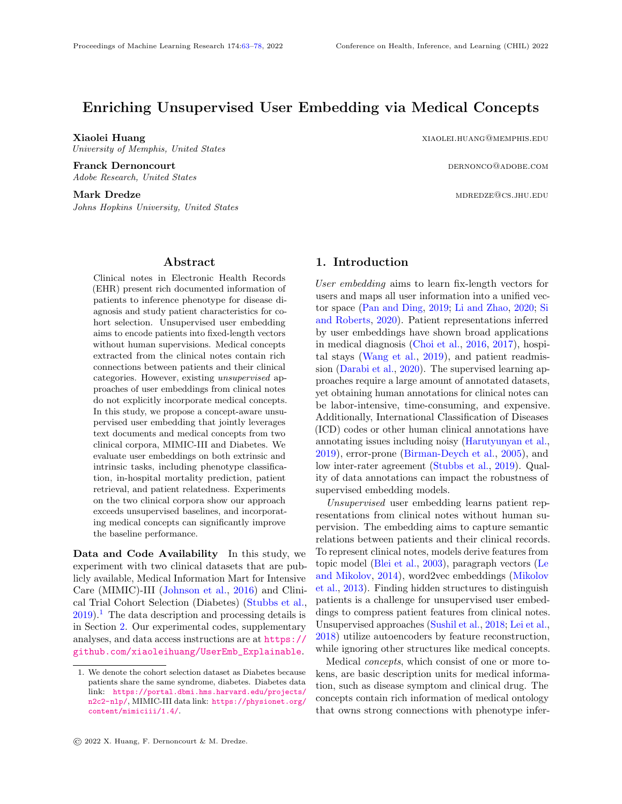# Enriching Unsupervised User Embedding via Medical Concepts

University of Memphis, United States

Franck Dernoncourt dernoncourt and the extension of the extension of the extension of the extension of the extension of the extension of the extension of the extension of the extension of the extension of the extension of Adobe Research, United States

Mark Dredze mdredze material metalskich besteht and der andere metalskich metalskich metalskich metalskich metalskich metalskich metalskich metalskich metalskich metalskich metalskich metalskich metalskich metalskich metal Johns Hopkins University, United States

### Abstract

<span id="page-0-0"></span>Clinical notes in Electronic Health Records (EHR) present rich documented information of patients to inference phenotype for disease diagnosis and study patient characteristics for cohort selection. Unsupervised user embedding aims to encode patients into fixed-length vectors without human supervisions. Medical concepts extracted from the clinical notes contain rich connections between patients and their clinical categories. However, existing unsupervised approaches of user embeddings from clinical notes do not explicitly incorporate medical concepts. In this study, we propose a concept-aware unsupervised user embedding that jointly leverages text documents and medical concepts from two clinical corpora, MIMIC-III and Diabetes. We evaluate user embeddings on both extrinsic and intrinsic tasks, including phenotype classification, in-hospital mortality prediction, patient retrieval, and patient relatedness. Experiments on the two clinical corpora show our approach exceeds unsupervised baselines, and incorporating medical concepts can significantly improve the baseline performance.

Data and Code Availability In this study, we experiment with two clinical datasets that are publicly available, Medical Information Mart for Intensive Care (MIMIC)-III [\(Johnson et al.,](#page-11-0) [2016\)](#page-11-0) and Clinical Trial Cohort Selection (Diabetes) [\(Stubbs et al.,](#page-13-0)  $2019$  $2019$  $2019$ .<sup>1</sup> The data description and processing details is in Section [2.](#page-1-0) Our experimental codes, supplementary analyses, and data access instructions are at [https://](https://github.com/xiaoleihuang/UserEmb_Explainable) [github.com/xiaoleihuang/UserEmb\\_Explainable](https://github.com/xiaoleihuang/UserEmb_Explainable).

Xiaolei Huang xiaolei Huang xiaolei Huang xiaolei et al. xiaolei et al. xiaolei et al. xiaolei et al. xiaolei et al. xiaolei et al. xiaolei et al. xiaolei et al. xiaolei et al. xiaolei et al. xiaolei et al. xiaolei et al.

### 1. Introduction

User embedding aims to learn fix-length vectors for users and maps all user information into a unified vector space [\(Pan and Ding,](#page-12-0) [2019;](#page-12-0) [Li and Zhao,](#page-11-1) [2020;](#page-11-1) [Si](#page-13-1) [and Roberts,](#page-13-1) [2020\)](#page-13-1). Patient representations inferred by user embeddings have shown broad applications in medical diagnosis [\(Choi et al.,](#page-10-0) [2016,](#page-10-0) [2017\)](#page-10-1), hospital stays [\(Wang et al.,](#page-13-2) [2019\)](#page-13-2), and patient readmission [\(Darabi et al.,](#page-10-2) [2020\)](#page-10-2). The supervised learning approaches require a large amount of annotated datasets, yet obtaining human annotations for clinical notes can be labor-intensive, time-consuming, and expensive. Additionally, International Classification of Diseases (ICD) codes or other human clinical annotations have annotating issues including noisy [\(Harutyunyan et al.,](#page-11-2) [2019\)](#page-11-2), error-prone [\(Birman-Deych et al.,](#page-10-3) [2005\)](#page-10-3), and low inter-rater agreement [\(Stubbs et al.,](#page-13-0) [2019\)](#page-13-0). Quality of data annotations can impact the robustness of supervised embedding models.

Unsupervised user embedding learns patient representations from clinical notes without human supervision. The embedding aims to capture semantic relations between patients and their clinical records. To represent clinical notes, models derive features from topic model [\(Blei et al.,](#page-10-4) [2003\)](#page-10-4), paragraph vectors [\(Le](#page-11-3) [and Mikolov,](#page-11-3) [2014\)](#page-11-3), word2vec embeddings [\(Mikolov](#page-12-1) [et al.,](#page-12-1) [2013\)](#page-12-1). Finding hidden structures to distinguish patients is a challenge for unsupervised user embeddings to compress patient features from clinical notes. Unsupervised approaches [\(Sushil et al.,](#page-13-3) [2018;](#page-13-3) [Lei et al.,](#page-11-4) [2018\)](#page-11-4) utilize autoencoders by feature reconstruction, while ignoring other structures like medical concepts.

Medical concepts, which consist of one or more tokens, are basic description units for medical information, such as disease symptom and clinical drug. The concepts contain rich information of medical ontology that owns strong connections with phenotype infer-

<span id="page-0-1"></span><sup>1.</sup> We denote the cohort selection dataset as Diabetes because patients share the same syndrome, diabetes. Diabetes data link: [https://portal.dbmi.hms.harvard.edu/projects/](https://portal.dbmi.hms.harvard.edu/projects/n2c2-nlp/) [n2c2-nlp/](https://portal.dbmi.hms.harvard.edu/projects/n2c2-nlp/), MIMIC-III data link: [https://physionet.org/](https://physionet.org/content/mimiciii/1.4/) [content/mimiciii/1.4/](https://physionet.org/content/mimiciii/1.4/).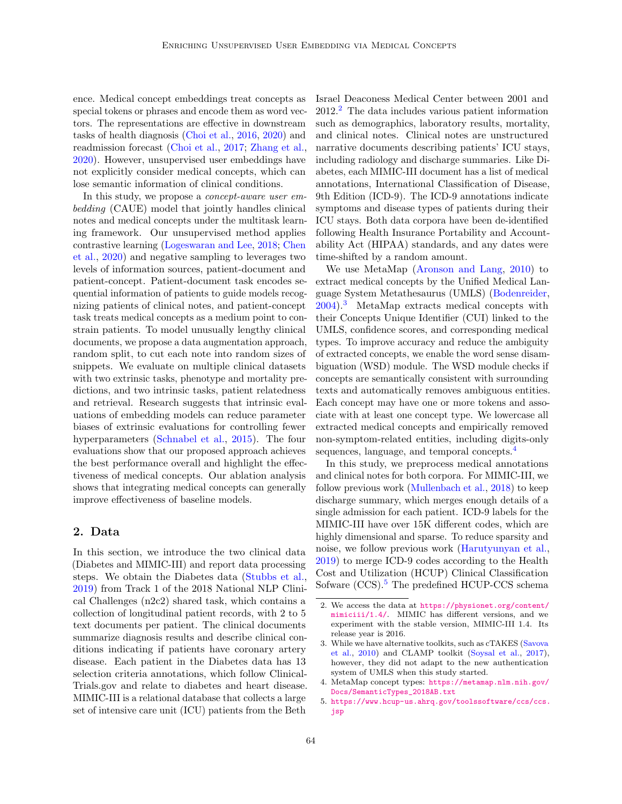ence. Medical concept embeddings treat concepts as special tokens or phrases and encode them as word vectors. The representations are effective in downstream tasks of health diagnosis [\(Choi et al.,](#page-10-0) [2016,](#page-10-0) [2020\)](#page-10-5) and readmission forecast [\(Choi et al.,](#page-10-1) [2017;](#page-10-1) [Zhang et al.,](#page-14-0) [2020\)](#page-14-0). However, unsupervised user embeddings have not explicitly consider medical concepts, which can lose semantic information of clinical conditions.

In this study, we propose a *concept-aware user em*bedding (CAUE) model that jointly handles clinical notes and medical concepts under the multitask learning framework. Our unsupervised method applies contrastive learning [\(Logeswaran and Lee,](#page-12-2) [2018;](#page-12-2) [Chen](#page-10-6) [et al.,](#page-10-6) [2020\)](#page-10-6) and negative sampling to leverages two levels of information sources, patient-document and patient-concept. Patient-document task encodes sequential information of patients to guide models recognizing patients of clinical notes, and patient-concept task treats medical concepts as a medium point to constrain patients. To model unusually lengthy clinical documents, we propose a data augmentation approach, random split, to cut each note into random sizes of snippets. We evaluate on multiple clinical datasets with two extrinsic tasks, phenotype and mortality predictions, and two intrinsic tasks, patient relatedness and retrieval. Research suggests that intrinsic evaluations of embedding models can reduce parameter biases of extrinsic evaluations for controlling fewer hyperparameters [\(Schnabel et al.,](#page-13-4) [2015\)](#page-13-4). The four evaluations show that our proposed approach achieves the best performance overall and highlight the effectiveness of medical concepts. Our ablation analysis shows that integrating medical concepts can generally improve effectiveness of baseline models.

### <span id="page-1-0"></span>2. Data

In this section, we introduce the two clinical data (Diabetes and MIMIC-III) and report data processing steps. We obtain the Diabetes data [\(Stubbs et al.,](#page-13-0) [2019\)](#page-13-0) from Track 1 of the 2018 National NLP Clinical Challenges (n2c2) shared task, which contains a collection of longitudinal patient records, with 2 to 5 text documents per patient. The clinical documents summarize diagnosis results and describe clinical conditions indicating if patients have coronary artery disease. Each patient in the Diabetes data has 13 selection criteria annotations, which follow Clinical-Trials.gov and relate to diabetes and heart disease. MIMIC-III is a relational database that collects a large set of intensive care unit (ICU) patients from the Beth

Israel Deaconess Medical Center between 2001 and  $2012<sup>2</sup>$  $2012<sup>2</sup>$  The data includes various patient information such as demographics, laboratory results, mortality, and clinical notes. Clinical notes are unstructured narrative documents describing patients' ICU stays, including radiology and discharge summaries. Like Diabetes, each MIMIC-III document has a list of medical annotations, International Classification of Disease, 9th Edition (ICD-9). The ICD-9 annotations indicate symptoms and disease types of patients during their ICU stays. Both data corpora have been de-identified following Health Insurance Portability and Accountability Act (HIPAA) standards, and any dates were time-shifted by a random amount.

We use MetaMap [\(Aronson and Lang,](#page-10-7) [2010\)](#page-10-7) to extract medical concepts by the Unified Medical Language System Metathesaurus (UMLS) [\(Bodenreider,](#page-10-8) [2004\)](#page-10-8).[3](#page-1-2) MetaMap extracts medical concepts with their Concepts Unique Identifier (CUI) linked to the UMLS, confidence scores, and corresponding medical types. To improve accuracy and reduce the ambiguity of extracted concepts, we enable the word sense disambiguation (WSD) module. The WSD module checks if concepts are semantically consistent with surrounding texts and automatically removes ambiguous entities. Each concept may have one or more tokens and associate with at least one concept type. We lowercase all extracted medical concepts and empirically removed non-symptom-related entities, including digits-only sequences, language, and temporal concepts.<sup>[4](#page-1-3)</sup>

In this study, we preprocess medical annotations and clinical notes for both corpora. For MIMIC-III, we follow previous work [\(Mullenbach et al.,](#page-12-3) [2018\)](#page-12-3) to keep discharge summary, which merges enough details of a single admission for each patient. ICD-9 labels for the MIMIC-III have over 15K different codes, which are highly dimensional and sparse. To reduce sparsity and noise, we follow previous work [\(Harutyunyan et al.,](#page-11-2) [2019\)](#page-11-2) to merge ICD-9 codes according to the Health Cost and Utilization (HCUP) Clinical Classification Sofware (CCS).<sup>[5](#page-1-4)</sup> The predefined HCUP-CCS schema

<span id="page-1-1"></span><sup>2.</sup> We access the data at [https://physionet.org/content/](https://physionet.org/content/mimiciii/1.4/) [mimiciii/1.4/](https://physionet.org/content/mimiciii/1.4/). MIMIC has different versions, and we experiment with the stable version, MIMIC-III 1.4. Its release year is 2016.

<span id="page-1-2"></span><sup>3.</sup> While we have alternative toolkits, such as cTAKES [\(Savova](#page-12-4) [et al.,](#page-12-4) [2010\)](#page-12-4) and CLAMP toolkit [\(Soysal et al.,](#page-13-5) [2017\)](#page-13-5), however, they did not adapt to the new authentication system of UMLS when this study started.

<span id="page-1-3"></span><sup>4.</sup> MetaMap concept types: [https://metamap.nlm.nih.gov/](https://metamap.nlm.nih.gov/Docs/SemanticTypes_2018AB.txt) [Docs/SemanticTypes\\_2018AB.txt](https://metamap.nlm.nih.gov/Docs/SemanticTypes_2018AB.txt)

<span id="page-1-4"></span><sup>5.</sup> [https://www.hcup-us.ahrq.gov/toolssoftware/ccs/ccs.](https://www.hcup-us.ahrq.gov/toolssoftware/ccs/ccs.jsp) [jsp](https://www.hcup-us.ahrq.gov/toolssoftware/ccs/ccs.jsp)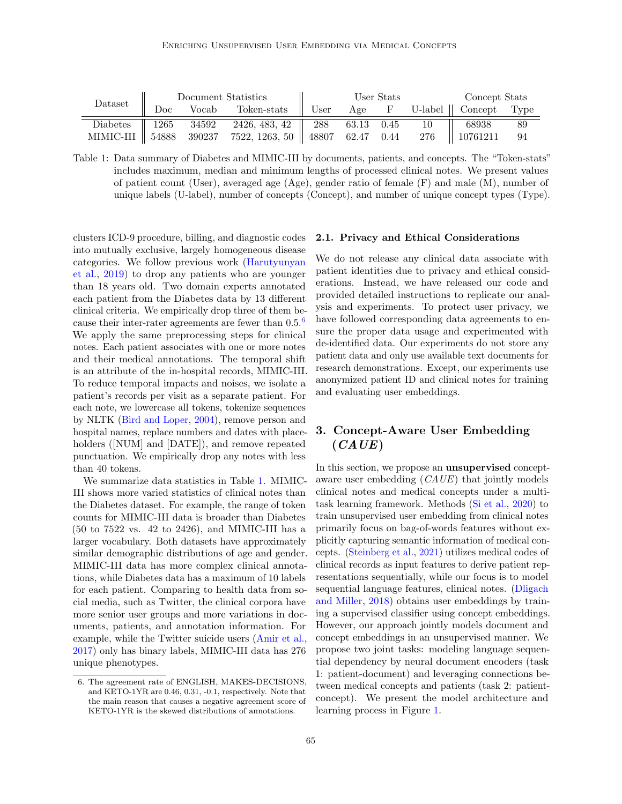| Dataset | Document Statistics |  |                                                                              | User Stats |  |  |  | Concept Stats                 |      |
|---------|---------------------|--|------------------------------------------------------------------------------|------------|--|--|--|-------------------------------|------|
|         |                     |  | $Doc$ Vocab Token-stats $\parallel$ User                                     |            |  |  |  | Age F U-label    Concept Type |      |
|         |                     |  | Diabetes    1265 34592 2426, 483, 42    288 63.13 0.45 10                    |            |  |  |  | 68938                         | - 89 |
|         |                     |  | MIMIC-III    54888 390237 7522, 1263, 50    48807 62.47 0.44 276    10761211 |            |  |  |  |                               | - 94 |

<span id="page-2-1"></span>Table 1: Data summary of Diabetes and MIMIC-III by documents, patients, and concepts. The "Token-stats" includes maximum, median and minimum lengths of processed clinical notes. We present values of patient count (User), averaged age (Age), gender ratio of female (F) and male (M), number of unique labels (U-label), number of concepts (Concept), and number of unique concept types (Type).

clusters ICD-9 procedure, billing, and diagnostic codes into mutually exclusive, largely homogeneous disease categories. We follow previous work [\(Harutyunyan](#page-11-2) [et al.,](#page-11-2) [2019\)](#page-11-2) to drop any patients who are younger than 18 years old. Two domain experts annotated each patient from the Diabetes data by 13 different clinical criteria. We empirically drop three of them because their inter-rater agreements are fewer than 0.5.[6](#page-2-0) We apply the same preprocessing steps for clinical notes. Each patient associates with one or more notes and their medical annotations. The temporal shift is an attribute of the in-hospital records, MIMIC-III. To reduce temporal impacts and noises, we isolate a patient's records per visit as a separate patient. For each note, we lowercase all tokens, tokenize sequences by NLTK [\(Bird and Loper,](#page-10-9) [2004\)](#page-10-9), remove person and hospital names, replace numbers and dates with placeholders ([NUM] and [DATE]), and remove repeated punctuation. We empirically drop any notes with less than 40 tokens.

We summarize data statistics in Table [1.](#page-2-1) MIMIC-III shows more varied statistics of clinical notes than the Diabetes dataset. For example, the range of token counts for MIMIC-III data is broader than Diabetes (50 to 7522 vs. 42 to 2426), and MIMIC-III has a larger vocabulary. Both datasets have approximately similar demographic distributions of age and gender. MIMIC-III data has more complex clinical annotations, while Diabetes data has a maximum of 10 labels for each patient. Comparing to health data from social media, such as Twitter, the clinical corpora have more senior user groups and more variations in documents, patients, and annotation information. For example, while the Twitter suicide users [\(Amir et al.,](#page-9-0) [2017\)](#page-9-0) only has binary labels, MIMIC-III data has 276 unique phenotypes.

### 2.1. Privacy and Ethical Considerations

We do not release any clinical data associate with patient identities due to privacy and ethical considerations. Instead, we have released our code and provided detailed instructions to replicate our analysis and experiments. To protect user privacy, we have followed corresponding data agreements to ensure the proper data usage and experimented with de-identified data. Our experiments do not store any patient data and only use available text documents for research demonstrations. Except, our experiments use anonymized patient ID and clinical notes for training and evaluating user embeddings.

## 3. Concept-Aware User Embedding  $(CAUE)$

In this section, we propose an unsupervised conceptaware user embedding (CAUE) that jointly models clinical notes and medical concepts under a multitask learning framework. Methods [\(Si et al.,](#page-13-6) [2020\)](#page-13-6) to train unsupervised user embedding from clinical notes primarily focus on bag-of-words features without explicitly capturing semantic information of medical concepts. [\(Steinberg et al.,](#page-13-7) [2021\)](#page-13-7) utilizes medical codes of clinical records as input features to derive patient representations sequentially, while our focus is to model sequential language features, clinical notes. [\(Dligach](#page-11-5) [and Miller,](#page-11-5) [2018\)](#page-11-5) obtains user embeddings by training a supervised classifier using concept embeddings. However, our approach jointly models document and concept embeddings in an unsupervised manner. We propose two joint tasks: modeling language sequential dependency by neural document encoders (task 1: patient-document) and leveraging connections between medical concepts and patients (task 2: patientconcept). We present the model architecture and learning process in Figure [1.](#page-3-0)

<span id="page-2-0"></span><sup>6.</sup> The agreement rate of ENGLISH, MAKES-DECISIONS, and KETO-1YR are 0.46, 0.31, -0.1, respectively. Note that the main reason that causes a negative agreement score of KETO-1YR is the skewed distributions of annotations.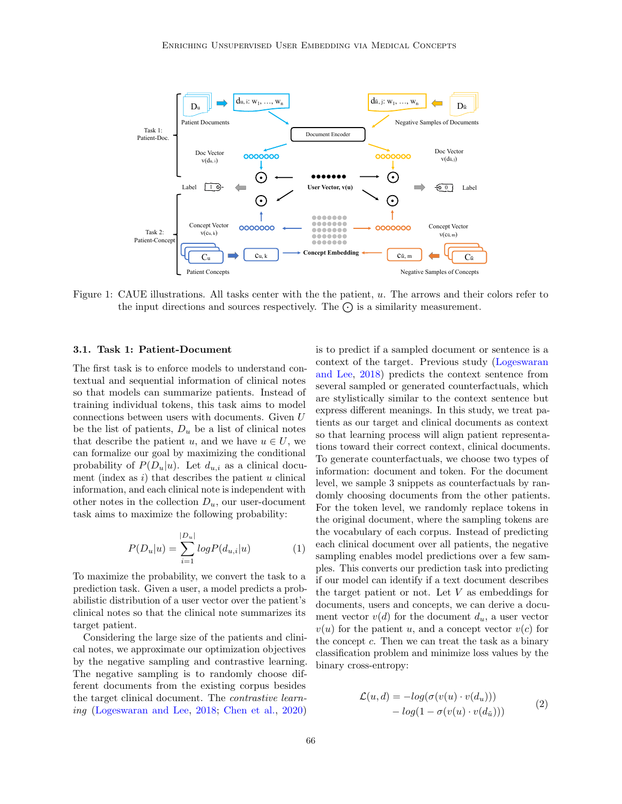

<span id="page-3-0"></span>Figure 1: CAUE illustrations. All tasks center with the the patient, u. The arrows and their colors refer to the input directions and sources respectively. The  $\bigodot$  is a similarity measurement.

### 3.1. Task 1: Patient-Document

The first task is to enforce models to understand contextual and sequential information of clinical notes so that models can summarize patients. Instead of training individual tokens, this task aims to model connections between users with documents. Given U be the list of patients,  $D_u$  be a list of clinical notes that describe the patient u, and we have  $u \in U$ , we can formalize our goal by maximizing the conditional probability of  $P(D_u|u)$ . Let  $d_{u,i}$  as a clinical document (index as  $i$ ) that describes the patient  $u$  clinical information, and each clinical note is independent with other notes in the collection  $D_u$ , our user-document task aims to maximize the following probability:

$$
P(D_u|u) = \sum_{i=1}^{|D_u|} log P(d_{u,i}|u)
$$
 (1)

To maximize the probability, we convert the task to a prediction task. Given a user, a model predicts a probabilistic distribution of a user vector over the patient's clinical notes so that the clinical note summarizes its target patient.

Considering the large size of the patients and clinical notes, we approximate our optimization objectives by the negative sampling and contrastive learning. The negative sampling is to randomly choose different documents from the existing corpus besides the target clinical document. The contrastive learning [\(Logeswaran and Lee,](#page-12-2) [2018;](#page-12-2) [Chen et al.,](#page-10-6) [2020\)](#page-10-6) is to predict if a sampled document or sentence is a context of the target. Previous study [\(Logeswaran](#page-12-2) [and Lee,](#page-12-2) [2018\)](#page-12-2) predicts the context sentence from several sampled or generated counterfactuals, which are stylistically similar to the context sentence but express different meanings. In this study, we treat patients as our target and clinical documents as context so that learning process will align patient representations toward their correct context, clinical documents. To generate counterfactuals, we choose two types of information: document and token. For the document level, we sample 3 snippets as counterfactuals by randomly choosing documents from the other patients. For the token level, we randomly replace tokens in the original document, where the sampling tokens are the vocabulary of each corpus. Instead of predicting each clinical document over all patients, the negative sampling enables model predictions over a few samples. This converts our prediction task into predicting if our model can identify if a text document describes the target patient or not. Let  $V$  as embeddings for documents, users and concepts, we can derive a document vector  $v(d)$  for the document  $d_u$ , a user vector  $v(u)$  for the patient u, and a concept vector  $v(c)$  for the concept  $c$ . Then we can treat the task as a binary classification problem and minimize loss values by the binary cross-entropy:

$$
\mathcal{L}(u,d) = -log(\sigma(v(u) \cdot v(d_u))) - log(1 - \sigma(v(u) \cdot v(d_{\tilde{u}})))
$$
\n(2)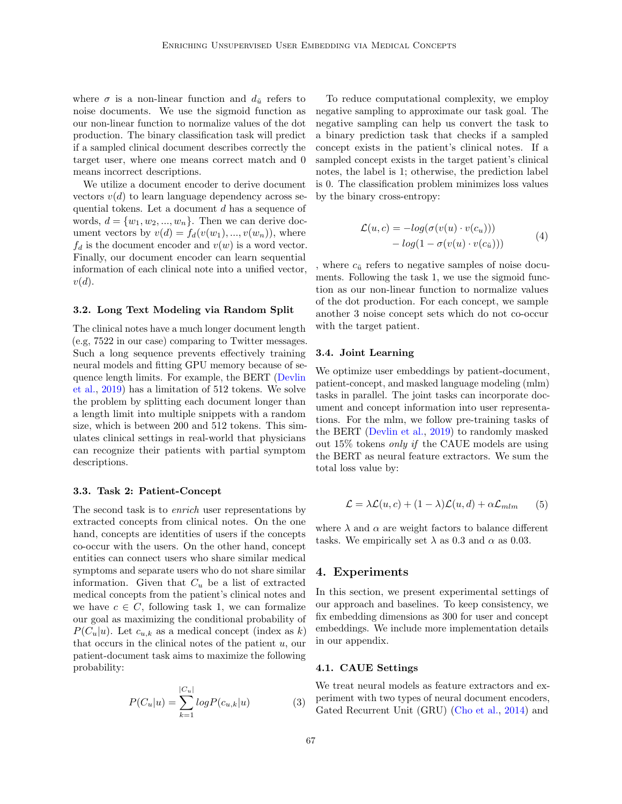where  $\sigma$  is a non-linear function and  $d_{\tilde{u}}$  refers to noise documents. We use the sigmoid function as our non-linear function to normalize values of the dot production. The binary classification task will predict if a sampled clinical document describes correctly the target user, where one means correct match and 0 means incorrect descriptions.

We utilize a document encoder to derive document vectors  $v(d)$  to learn language dependency across sequential tokens. Let a document d has a sequence of words,  $d = \{w_1, w_2, ..., w_n\}$ . Then we can derive document vectors by  $v(d) = f_d(v(w_1), ..., v(w_n))$ , where  $f_d$  is the document encoder and  $v(w)$  is a word vector. Finally, our document encoder can learn sequential information of each clinical note into a unified vector,  $v(d).$ 

#### 3.2. Long Text Modeling via Random Split

The clinical notes have a much longer document length (e.g, 7522 in our case) comparing to Twitter messages. Such a long sequence prevents effectively training neural models and fitting GPU memory because of sequence length limits. For example, the BERT [\(Devlin](#page-10-10) [et al.,](#page-10-10) [2019\)](#page-10-10) has a limitation of 512 tokens. We solve the problem by splitting each document longer than a length limit into multiple snippets with a random size, which is between 200 and 512 tokens. This simulates clinical settings in real-world that physicians can recognize their patients with partial symptom descriptions.

#### 3.3. Task 2: Patient-Concept

The second task is to *enrich* user representations by extracted concepts from clinical notes. On the one hand, concepts are identities of users if the concepts co-occur with the users. On the other hand, concept entities can connect users who share similar medical symptoms and separate users who do not share similar information. Given that  $C_u$  be a list of extracted medical concepts from the patient's clinical notes and we have  $c \in C$ , following task 1, we can formalize our goal as maximizing the conditional probability of  $P(C_u|u)$ . Let  $c_{u,k}$  as a medical concept (index as k) that occurs in the clinical notes of the patient  $u$ , our patient-document task aims to maximize the following probability:

$$
P(C_u|u) = \sum_{k=1}^{|C_u|} log P(c_{u,k}|u)
$$
 (3)

To reduce computational complexity, we employ negative sampling to approximate our task goal. The negative sampling can help us convert the task to a binary prediction task that checks if a sampled concept exists in the patient's clinical notes. If a sampled concept exists in the target patient's clinical notes, the label is 1; otherwise, the prediction label is 0. The classification problem minimizes loss values by the binary cross-entropy:

$$
\mathcal{L}(u, c) = -log(\sigma(v(u) \cdot v(c_u))) - log(1 - \sigma(v(u) \cdot v(c_{\tilde{u}})))
$$
\n(4)

where  $c_{\tilde{u}}$  refers to negative samples of noise documents. Following the task 1, we use the sigmoid function as our non-linear function to normalize values of the dot production. For each concept, we sample another 3 noise concept sets which do not co-occur with the target patient.

#### 3.4. Joint Learning

We optimize user embeddings by patient-document, patient-concept, and masked language modeling (mlm) tasks in parallel. The joint tasks can incorporate document and concept information into user representations. For the mlm, we follow pre-training tasks of the BERT [\(Devlin et al.,](#page-10-10) [2019\)](#page-10-10) to randomly masked out 15% tokens only if the CAUE models are using the BERT as neural feature extractors. We sum the total loss value by:

$$
\mathcal{L} = \lambda \mathcal{L}(u, c) + (1 - \lambda) \mathcal{L}(u, d) + \alpha \mathcal{L}_{mlm}
$$
 (5)

where  $\lambda$  and  $\alpha$  are weight factors to balance different tasks. We empirically set  $\lambda$  as 0.3 and  $\alpha$  as 0.03.

#### <span id="page-4-0"></span>4. Experiments

In this section, we present experimental settings of our approach and baselines. To keep consistency, we fix embedding dimensions as 300 for user and concept embeddings. We include more implementation details in our appendix.

#### 4.1. CAUE Settings

We treat neural models as feature extractors and experiment with two types of neural document encoders, Gated Recurrent Unit (GRU) [\(Cho et al.,](#page-10-11) [2014\)](#page-10-11) and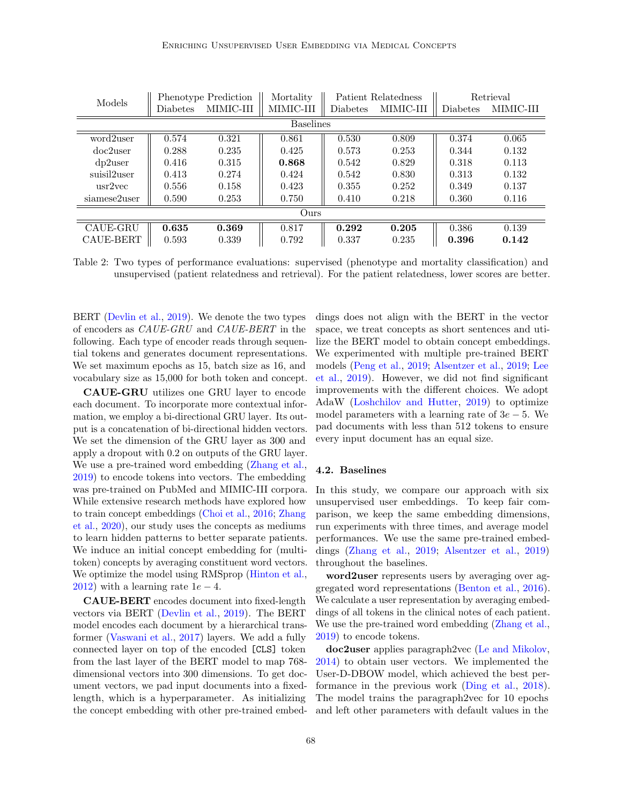| Models       |                  | Phenotype Prediction | Mortality | Patient Relatedness |           | Retrieval       |           |
|--------------|------------------|----------------------|-----------|---------------------|-----------|-----------------|-----------|
|              | <b>Diabetes</b>  | MIMIC-III            | MIMIC-III | <b>Diabetes</b>     | MIMIC-III | <b>Diabetes</b> | MIMIC-III |
|              | <b>Baselines</b> |                      |           |                     |           |                 |           |
| word2user    | 0.574            | 0.321                | 0.861     | 0.530               | 0.809     | 0.374           | 0.065     |
| $doc2$ user  | 0.288            | 0.235                | 0.425     | 0.573               | 0.253     | 0.344           | 0.132     |
| $dp2$ user   | 0.416            | 0.315                | 0.868     | 0.542               | 0.829     | 0.318           | 0.113     |
| suisil2user  | 0.413            | 0.274                | 0.424     | 0.542               | 0.830     | 0.313           | 0.132     |
| usr2vec      | 0.556            | 0.158                | 0.423     | 0.355               | 0.252     | 0.349           | 0.137     |
| siamese2user | 0.590            | 0.253                | 0.750     | 0.410               | 0.218     | 0.360           | 0.116     |
| Ours         |                  |                      |           |                     |           |                 |           |
| CAUE-GRU     | 0.635            | 0.369                | 0.817     | 0.292               | 0.205     | 0.386           | 0.139     |
| CAUE-BERT    | 0.593            | 0.339                | 0.792     | 0.337               | 0.235     | 0.396           | 0.142     |

<span id="page-5-0"></span>Table 2: Two types of performance evaluations: supervised (phenotype and mortality classification) and unsupervised (patient relatedness and retrieval). For the patient relatedness, lower scores are better.

BERT [\(Devlin et al.,](#page-10-10) [2019\)](#page-10-10). We denote the two types of encoders as CAUE-GRU and CAUE-BERT in the following. Each type of encoder reads through sequential tokens and generates document representations. We set maximum epochs as 15, batch size as 16, and vocabulary size as 15,000 for both token and concept.

CAUE-GRU utilizes one GRU layer to encode each document. To incorporate more contextual information, we employ a bi-directional GRU layer. Its output is a concatenation of bi-directional hidden vectors. We set the dimension of the GRU layer as 300 and apply a dropout with 0.2 on outputs of the GRU layer. We use a pre-trained word embedding [\(Zhang et al.,](#page-14-1) [2019\)](#page-14-1) to encode tokens into vectors. The embedding was pre-trained on PubMed and MIMIC-III corpora. While extensive research methods have explored how to train concept embeddings [\(Choi et al.,](#page-10-0) [2016;](#page-10-0) [Zhang](#page-14-0) [et al.,](#page-14-0) [2020\)](#page-14-0), our study uses the concepts as mediums to learn hidden patterns to better separate patients. We induce an initial concept embedding for (multitoken) concepts by averaging constituent word vectors. We optimize the model using RMSprop [\(Hinton et al.,](#page-11-6) [2012\)](#page-11-6) with a learning rate  $1e - 4$ .

CAUE-BERT encodes document into fixed-length vectors via BERT [\(Devlin et al.,](#page-10-10) [2019\)](#page-10-10). The BERT model encodes each document by a hierarchical transformer [\(Vaswani et al.,](#page-13-8) [2017\)](#page-13-8) layers. We add a fully connected layer on top of the encoded [CLS] token from the last layer of the BERT model to map 768 dimensional vectors into 300 dimensions. To get document vectors, we pad input documents into a fixedlength, which is a hyperparameter. As initializing the concept embedding with other pre-trained embeddings does not align with the BERT in the vector space, we treat concepts as short sentences and utilize the BERT model to obtain concept embeddings. We experimented with multiple pre-trained BERT models [\(Peng et al.,](#page-12-5) [2019;](#page-12-5) [Alsentzer et al.,](#page-9-1) [2019;](#page-9-1) [Lee](#page-11-7) [et al.,](#page-11-7) [2019\)](#page-11-7). However, we did not find significant improvements with the different choices. We adopt AdaW [\(Loshchilov and Hutter,](#page-12-6) [2019\)](#page-12-6) to optimize model parameters with a learning rate of  $3e - 5$ . We pad documents with less than 512 tokens to ensure every input document has an equal size.

### 4.2. Baselines

In this study, we compare our approach with six unsupervised user embeddings. To keep fair comparison, we keep the same embedding dimensions, run experiments with three times, and average model performances. We use the same pre-trained embeddings [\(Zhang et al.,](#page-14-1) [2019;](#page-14-1) [Alsentzer et al.,](#page-9-1) [2019\)](#page-9-1) throughout the baselines.

word2user represents users by averaging over aggregated word representations [\(Benton et al.,](#page-10-12) [2016\)](#page-10-12). We calculate a user representation by averaging embeddings of all tokens in the clinical notes of each patient. We use the pre-trained word embedding [\(Zhang et al.,](#page-14-1) [2019\)](#page-14-1) to encode tokens.

doc2user applies paragraph2vec [\(Le and Mikolov,](#page-11-3) [2014\)](#page-11-3) to obtain user vectors. We implemented the User-D-DBOW model, which achieved the best performance in the previous work [\(Ding et al.,](#page-11-8) [2018\)](#page-11-8). The model trains the paragraph2vec for 10 epochs and left other parameters with default values in the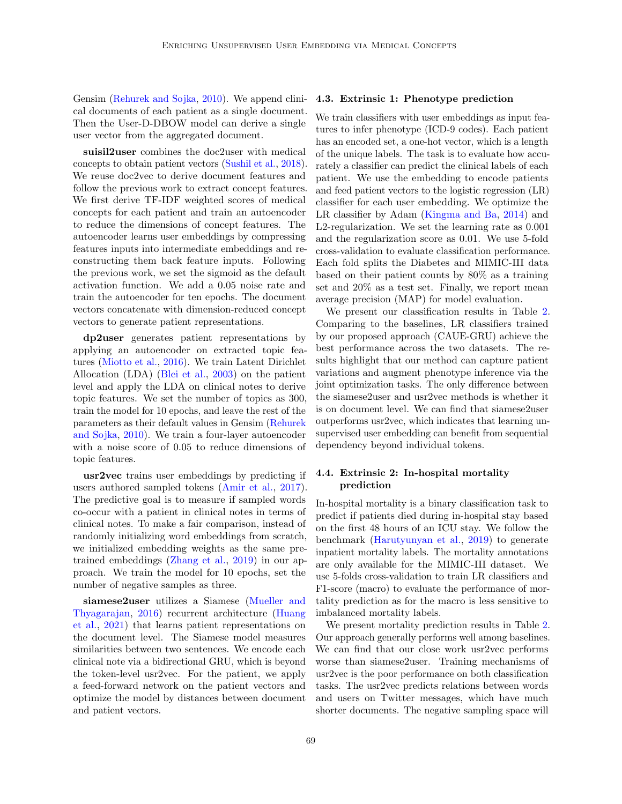Gensim [\(Rehurek and Sojka,](#page-12-7) [2010\)](#page-12-7). We append clinical documents of each patient as a single document. Then the User-D-DBOW model can derive a single user vector from the aggregated document.

suisil2user combines the doc2user with medical concepts to obtain patient vectors [\(Sushil et al.,](#page-13-3) [2018\)](#page-13-3). We reuse doc2vec to derive document features and follow the previous work to extract concept features. We first derive TF-IDF weighted scores of medical concepts for each patient and train an autoencoder to reduce the dimensions of concept features. The autoencoder learns user embeddings by compressing features inputs into intermediate embeddings and reconstructing them back feature inputs. Following the previous work, we set the sigmoid as the default activation function. We add a 0.05 noise rate and train the autoencoder for ten epochs. The document vectors concatenate with dimension-reduced concept vectors to generate patient representations.

dp2user generates patient representations by applying an autoencoder on extracted topic features [\(Miotto et al.,](#page-12-8) [2016\)](#page-12-8). We train Latent Dirichlet Allocation (LDA) [\(Blei et al.,](#page-10-4) [2003\)](#page-10-4) on the patient level and apply the LDA on clinical notes to derive topic features. We set the number of topics as 300, train the model for 10 epochs, and leave the rest of the parameters as their default values in Gensim [\(Rehurek](#page-12-7) [and Sojka,](#page-12-7) [2010\)](#page-12-7). We train a four-layer autoencoder with a noise score of 0.05 to reduce dimensions of topic features.

usr2vec trains user embeddings by predicting if users authored sampled tokens [\(Amir et al.,](#page-9-0) [2017\)](#page-9-0). The predictive goal is to measure if sampled words co-occur with a patient in clinical notes in terms of clinical notes. To make a fair comparison, instead of randomly initializing word embeddings from scratch, we initialized embedding weights as the same pretrained embeddings [\(Zhang et al.,](#page-14-1) [2019\)](#page-14-1) in our approach. We train the model for 10 epochs, set the number of negative samples as three.

siamese2user utilizes a Siamese [\(Mueller and](#page-12-9) [Thyagarajan,](#page-12-9) [2016\)](#page-12-9) recurrent architecture [\(Huang](#page-11-9) [et al.,](#page-11-9) [2021\)](#page-11-9) that learns patient representations on the document level. The Siamese model measures similarities between two sentences. We encode each clinical note via a bidirectional GRU, which is beyond the token-level usr2vec. For the patient, we apply a feed-forward network on the patient vectors and optimize the model by distances between document and patient vectors.

### 4.3. Extrinsic 1: Phenotype prediction

We train classifiers with user embeddings as input features to infer phenotype (ICD-9 codes). Each patient has an encoded set, a one-hot vector, which is a length of the unique labels. The task is to evaluate how accurately a classifier can predict the clinical labels of each patient. We use the embedding to encode patients and feed patient vectors to the logistic regression (LR) classifier for each user embedding. We optimize the LR classifier by Adam [\(Kingma and Ba,](#page-11-10) [2014\)](#page-11-10) and L2-regularization. We set the learning rate as 0.001 and the regularization score as 0.01. We use 5-fold cross-validation to evaluate classification performance. Each fold splits the Diabetes and MIMIC-III data based on their patient counts by 80% as a training set and 20% as a test set. Finally, we report mean average precision (MAP) for model evaluation.

We present our classification results in Table [2.](#page-5-0) Comparing to the baselines, LR classifiers trained by our proposed approach (CAUE-GRU) achieve the best performance across the two datasets. The results highlight that our method can capture patient variations and augment phenotype inference via the joint optimization tasks. The only difference between the siamese2user and usr2vec methods is whether it is on document level. We can find that siamese2user outperforms usr2vec, which indicates that learning unsupervised user embedding can benefit from sequential dependency beyond individual tokens.

### 4.4. Extrinsic 2: In-hospital mortality prediction

In-hospital mortality is a binary classification task to predict if patients died during in-hospital stay based on the first 48 hours of an ICU stay. We follow the benchmark [\(Harutyunyan et al.,](#page-11-2) [2019\)](#page-11-2) to generate inpatient mortality labels. The mortality annotations are only available for the MIMIC-III dataset. We use 5-folds cross-validation to train LR classifiers and F1-score (macro) to evaluate the performance of mortality prediction as for the macro is less sensitive to imbalanced mortality labels.

We present mortality prediction results in Table [2.](#page-5-0) Our approach generally performs well among baselines. We can find that our close work usr2vec performs worse than siamese2user. Training mechanisms of usr2vec is the poor performance on both classification tasks. The usr2vec predicts relations between words and users on Twitter messages, which have much shorter documents. The negative sampling space will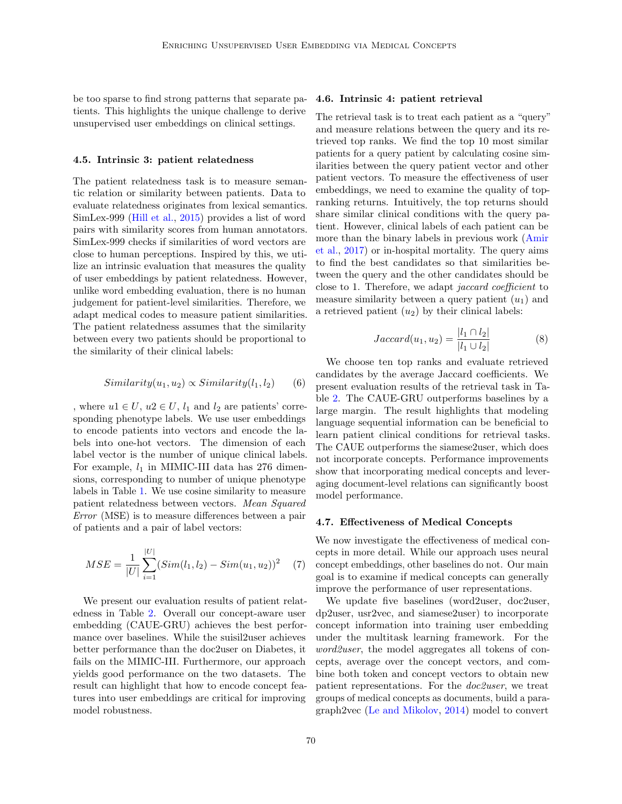be too sparse to find strong patterns that separate patients. This highlights the unique challenge to derive unsupervised user embeddings on clinical settings.

#### 4.5. Intrinsic 3: patient relatedness

The patient relatedness task is to measure semantic relation or similarity between patients. Data to evaluate relatedness originates from lexical semantics. SimLex-999 [\(Hill et al.,](#page-11-11) [2015\)](#page-11-11) provides a list of word pairs with similarity scores from human annotators. SimLex-999 checks if similarities of word vectors are close to human perceptions. Inspired by this, we utilize an intrinsic evaluation that measures the quality of user embeddings by patient relatedness. However, unlike word embedding evaluation, there is no human judgement for patient-level similarities. Therefore, we adapt medical codes to measure patient similarities. The patient relatedness assumes that the similarity between every two patients should be proportional to the similarity of their clinical labels:

$$
Similarity(u_1, u_2) \propto Similarity(l_1, l_2)
$$
 (6)

, where  $u1 \in U$ ,  $u2 \in U$ ,  $l_1$  and  $l_2$  are patients' corresponding phenotype labels. We use user embeddings to encode patients into vectors and encode the labels into one-hot vectors. The dimension of each label vector is the number of unique clinical labels. For example,  $l_1$  in MIMIC-III data has 276 dimensions, corresponding to number of unique phenotype labels in Table [1.](#page-2-1) We use cosine similarity to measure patient relatedness between vectors. Mean Squared Error (MSE) is to measure differences between a pair of patients and a pair of label vectors:

$$
MSE = \frac{1}{|U|} \sum_{i=1}^{|U|} (Sim(l_1, l_2) - Sim(u_1, u_2))^2
$$
 (7)

We present our evaluation results of patient relatedness in Table [2.](#page-5-0) Overall our concept-aware user embedding (CAUE-GRU) achieves the best performance over baselines. While the suisil2user achieves better performance than the doc2user on Diabetes, it fails on the MIMIC-III. Furthermore, our approach yields good performance on the two datasets. The result can highlight that how to encode concept features into user embeddings are critical for improving model robustness.

#### 4.6. Intrinsic 4: patient retrieval

The retrieval task is to treat each patient as a "query" and measure relations between the query and its retrieved top ranks. We find the top 10 most similar patients for a query patient by calculating cosine similarities between the query patient vector and other patient vectors. To measure the effectiveness of user embeddings, we need to examine the quality of topranking returns. Intuitively, the top returns should share similar clinical conditions with the query patient. However, clinical labels of each patient can be more than the binary labels in previous work [\(Amir](#page-9-0) [et al.,](#page-9-0) [2017\)](#page-9-0) or in-hospital mortality. The query aims to find the best candidates so that similarities between the query and the other candidates should be close to 1. Therefore, we adapt jaccard coefficient to measure similarity between a query patient  $(u_1)$  and a retrieved patient  $(u_2)$  by their clinical labels:

$$
Jaccard(u_1, u_2) = \frac{|l_1 \cap l_2|}{|l_1 \cup l_2|} \tag{8}
$$

We choose ten top ranks and evaluate retrieved candidates by the average Jaccard coefficients. We present evaluation results of the retrieval task in Table [2.](#page-5-0) The CAUE-GRU outperforms baselines by a large margin. The result highlights that modeling language sequential information can be beneficial to learn patient clinical conditions for retrieval tasks. The CAUE outperforms the siamese2user, which does not incorporate concepts. Performance improvements show that incorporating medical concepts and leveraging document-level relations can significantly boost model performance.

#### 4.7. Effectiveness of Medical Concepts

We now investigate the effectiveness of medical concepts in more detail. While our approach uses neural concept embeddings, other baselines do not. Our main goal is to examine if medical concepts can generally improve the performance of user representations.

We update five baselines (word2user, doc2user, dp2user, usr2vec, and siamese2user) to incorporate concept information into training user embedding under the multitask learning framework. For the word2user, the model aggregates all tokens of concepts, average over the concept vectors, and combine both token and concept vectors to obtain new patient representations. For the doc2user, we treat groups of medical concepts as documents, build a paragraph2vec [\(Le and Mikolov,](#page-11-3) [2014\)](#page-11-3) model to convert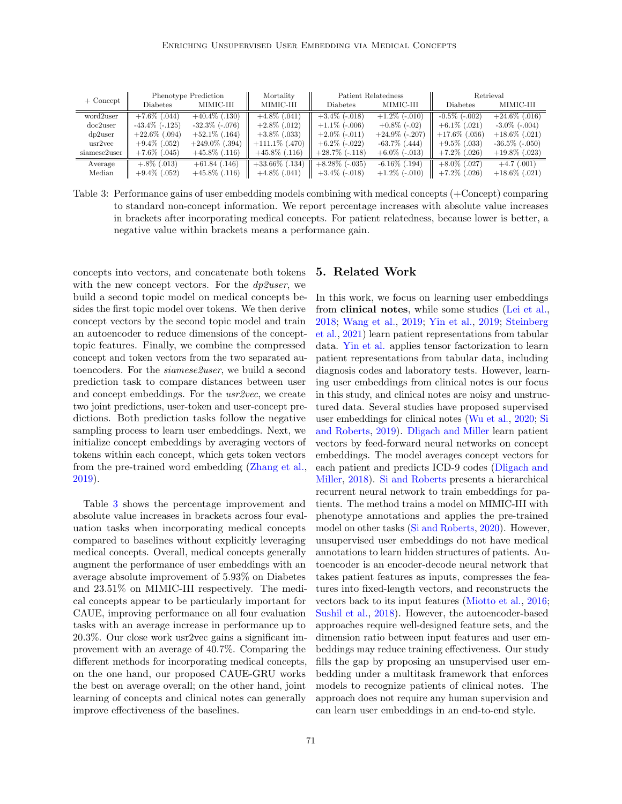|              |                      | Phenotype Prediction   | Mortality         |                   | Patient Relatedness | Retrieval             |                       |
|--------------|----------------------|------------------------|-------------------|-------------------|---------------------|-----------------------|-----------------------|
| $+$ Concept  | <b>Diabetes</b>      | MIMIC-III              | MIMIC-III         | <b>Diabetes</b>   | MIMIC-III           | Diabetes              | MIMIC-III             |
| word2user    | $+7.6\%$ (.044)      | $+40.4\%$ (.130)       | $+4.8\%$ (.041)   | $+3.4\%$ (-.018)  | $+1.2\%$ (-.010)    | $-0.5\%$ ( $-0.002$ ) | $+24.6\%$ (.016)      |
| $doc2$ user  | $-43.4\%$ ( $-125$ ) | $-32.3\%$ ( $-0.076$ ) | $+2.8\%$ (.012)   | $+1.1\%$ (-.006)  | $+0.8\%$ (-.02)     | $+6.1\%$ (.021)       | $-3.0\%$ ( $-0.004$ ) |
| $dp2$ user   | $+22.6\%$ (.094)     | $+52.1\%$ (.164)       | $+3.8\%$ (.033)   | $+2.0\%$ (-.011)  | $+24.9\%$ (-.207)   | $+17.6\%$ (.056)      | $+18.6\%$ (.021)      |
| usr2vec      | $+9.4\%$ (.052)      | $+249.0\%$ (.394)      | $+111.1\%$ (.470) | $+6.2\%$ (-.022)  | $-63.7\%$ $(.444)$  | $+9.5\%$ (.033)       | $-36.5\%$ ( $-050$ )  |
| siamese2user | $+7.6\%$ (.045)      | $+45.8\%$ (.116)       | $+45.8\%$ (.116)  | $+28.7\%$ (-.118) | $+6.0\%$ (-.013)    | $+7.2\%$ (.026)       | $+19.8\%$ (.023)      |
| Average      | $+.8\%$ (.013)       | $+61.84$ (.146)        | $+33.66\%$ (.134) | $+8.28\%$ (-.035) | $-6.16\%$ (.194)    | $+8.0\%$ (.027)       | $+4.7$ (.001)         |
| Median       | $+9.4\%$ (.052)      | $+45.8\%$ (.116)       | $+4.8\%$ (.041)   | $+3.4\%$ (-.018)  | $+1.2\%$ (-.010)    | $+7.2\%$ (.026)       | $+18.6\%$ (.021)      |

<span id="page-8-0"></span>Table 3: Performance gains of user embedding models combining with medical concepts (+Concept) comparing to standard non-concept information. We report percentage increases with absolute value increases in brackets after incorporating medical concepts. For patient relatedness, because lower is better, a negative value within brackets means a performance gain.

concepts into vectors, and concatenate both tokens with the new concept vectors. For the  $dp\ell user$ , we build a second topic model on medical concepts besides the first topic model over tokens. We then derive concept vectors by the second topic model and train an autoencoder to reduce dimensions of the concepttopic features. Finally, we combine the compressed concept and token vectors from the two separated autoencoders. For the *siamese2user*, we build a second prediction task to compare distances between user and concept embeddings. For the usr2vec, we create two joint predictions, user-token and user-concept predictions. Both prediction tasks follow the negative sampling process to learn user embeddings. Next, we initialize concept embeddings by averaging vectors of tokens within each concept, which gets token vectors from the pre-trained word embedding [\(Zhang et al.,](#page-14-1) [2019\)](#page-14-1).

Table [3](#page-8-0) shows the percentage improvement and absolute value increases in brackets across four evaluation tasks when incorporating medical concepts compared to baselines without explicitly leveraging medical concepts. Overall, medical concepts generally augment the performance of user embeddings with an average absolute improvement of 5.93% on Diabetes and 23.51% on MIMIC-III respectively. The medical concepts appear to be particularly important for CAUE, improving performance on all four evaluation tasks with an average increase in performance up to 20.3%. Our close work usr2vec gains a significant improvement with an average of 40.7%. Comparing the different methods for incorporating medical concepts, on the one hand, our proposed CAUE-GRU works the best on average overall; on the other hand, joint learning of concepts and clinical notes can generally improve effectiveness of the baselines.

### 5. Related Work

In this work, we focus on learning user embeddings from clinical notes, while some studies [\(Lei et al.,](#page-11-4) [2018;](#page-11-4) [Wang et al.,](#page-13-2) [2019;](#page-13-2) [Yin et al.,](#page-14-2) [2019;](#page-14-2) [Steinberg](#page-13-7) [et al.,](#page-13-7) [2021\)](#page-13-7) learn patient representations from tabular data. [Yin et al.](#page-14-2) applies tensor factorization to learn patient representations from tabular data, including diagnosis codes and laboratory tests. However, learning user embeddings from clinical notes is our focus in this study, and clinical notes are noisy and unstructured data. Several studies have proposed supervised user embeddings for clinical notes [\(Wu et al.,](#page-14-3) [2020;](#page-14-3) [Si](#page-13-9) [and Roberts,](#page-13-9) [2019\)](#page-13-9). [Dligach and Miller](#page-11-5) learn patient vectors by feed-forward neural networks on concept embeddings. The model averages concept vectors for each patient and predicts ICD-9 codes [\(Dligach and](#page-11-5) [Miller,](#page-11-5) [2018\)](#page-11-5). [Si and Roberts](#page-13-1) presents a hierarchical recurrent neural network to train embeddings for patients. The method trains a model on MIMIC-III with phenotype annotations and applies the pre-trained model on other tasks [\(Si and Roberts,](#page-13-1) [2020\)](#page-13-1). However, unsupervised user embeddings do not have medical annotations to learn hidden structures of patients. Autoencoder is an encoder-decode neural network that takes patient features as inputs, compresses the features into fixed-length vectors, and reconstructs the vectors back to its input features [\(Miotto et al.,](#page-12-8) [2016;](#page-12-8) [Sushil et al.,](#page-13-3) [2018\)](#page-13-3). However, the autoencoder-based approaches require well-designed feature sets, and the dimension ratio between input features and user embeddings may reduce training effectiveness. Our study fills the gap by proposing an unsupervised user embedding under a multitask framework that enforces models to recognize patients of clinical notes. The approach does not require any human supervision and can learn user embeddings in an end-to-end style.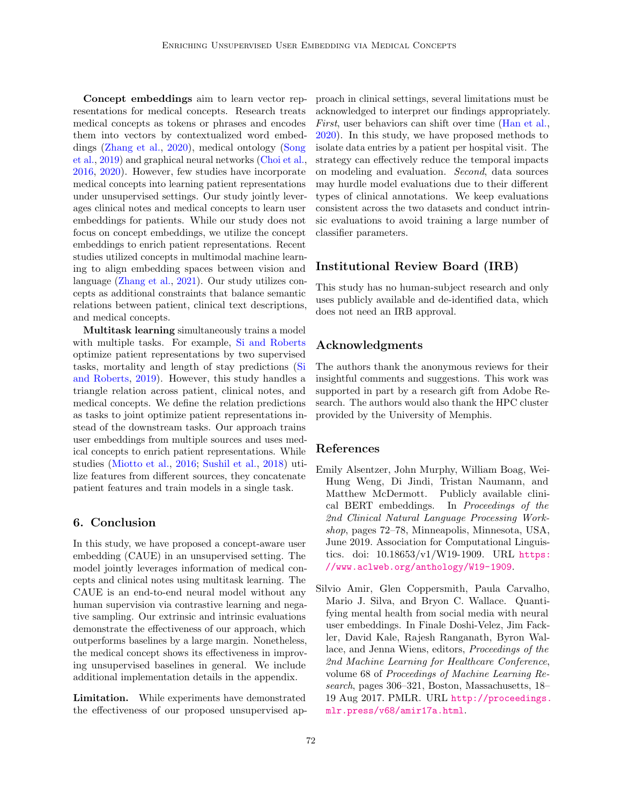Concept embeddings aim to learn vector representations for medical concepts. Research treats medical concepts as tokens or phrases and encodes them into vectors by contextualized word embeddings [\(Zhang et al.,](#page-14-0) [2020\)](#page-14-0), medical ontology [\(Song](#page-13-10) [et al.,](#page-13-10) [2019\)](#page-13-10) and graphical neural networks [\(Choi et al.,](#page-10-0) [2016,](#page-10-0) [2020\)](#page-10-5). However, few studies have incorporate medical concepts into learning patient representations under unsupervised settings. Our study jointly leverages clinical notes and medical concepts to learn user embeddings for patients. While our study does not focus on concept embeddings, we utilize the concept embeddings to enrich patient representations. Recent studies utilized concepts in multimodal machine learning to align embedding spaces between vision and language [\(Zhang et al.,](#page-14-4) [2021\)](#page-14-4). Our study utilizes concepts as additional constraints that balance semantic relations between patient, clinical text descriptions, and medical concepts.

Multitask learning simultaneously trains a model with multiple tasks. For example, [Si and Roberts](#page-13-9) optimize patient representations by two supervised tasks, mortality and length of stay predictions [\(Si](#page-13-9) [and Roberts,](#page-13-9) [2019\)](#page-13-9). However, this study handles a triangle relation across patient, clinical notes, and medical concepts. We define the relation predictions as tasks to joint optimize patient representations instead of the downstream tasks. Our approach trains user embeddings from multiple sources and uses medical concepts to enrich patient representations. While studies [\(Miotto et al.,](#page-12-8) [2016;](#page-12-8) [Sushil et al.,](#page-13-3) [2018\)](#page-13-3) utilize features from different sources, they concatenate patient features and train models in a single task.

### 6. Conclusion

In this study, we have proposed a concept-aware user embedding (CAUE) in an unsupervised setting. The model jointly leverages information of medical concepts and clinical notes using multitask learning. The CAUE is an end-to-end neural model without any human supervision via contrastive learning and negative sampling. Our extrinsic and intrinsic evaluations demonstrate the effectiveness of our approach, which outperforms baselines by a large margin. Nonetheless, the medical concept shows its effectiveness in improving unsupervised baselines in general. We include additional implementation details in the appendix.

Limitation. While experiments have demonstrated the effectiveness of our proposed unsupervised approach in clinical settings, several limitations must be acknowledged to interpret our findings appropriately. First, user behaviors can shift over time [\(Han et al.,](#page-11-12) [2020\)](#page-11-12). In this study, we have proposed methods to isolate data entries by a patient per hospital visit. The strategy can effectively reduce the temporal impacts on modeling and evaluation. Second, data sources may hurdle model evaluations due to their different types of clinical annotations. We keep evaluations consistent across the two datasets and conduct intrinsic evaluations to avoid training a large number of classifier parameters.

### Institutional Review Board (IRB)

This study has no human-subject research and only uses publicly available and de-identified data, which does not need an IRB approval.

### Acknowledgments

The authors thank the anonymous reviews for their insightful comments and suggestions. This work was supported in part by a research gift from Adobe Research. The authors would also thank the HPC cluster provided by the University of Memphis.

### References

- <span id="page-9-1"></span>Emily Alsentzer, John Murphy, William Boag, Wei-Hung Weng, Di Jindi, Tristan Naumann, and Matthew McDermott. Publicly available clinical BERT embeddings. In Proceedings of the 2nd Clinical Natural Language Processing Workshop, pages 72–78, Minneapolis, Minnesota, USA, June 2019. Association for Computational Linguistics. doi:  $10.18653/v1/W19-1909$ . URL [https:](https://www.aclweb.org/anthology/W19-1909) [//www.aclweb.org/anthology/W19-1909](https://www.aclweb.org/anthology/W19-1909).
- <span id="page-9-0"></span>Silvio Amir, Glen Coppersmith, Paula Carvalho, Mario J. Silva, and Bryon C. Wallace. Quantifying mental health from social media with neural user embeddings. In Finale Doshi-Velez, Jim Fackler, David Kale, Rajesh Ranganath, Byron Wallace, and Jenna Wiens, editors, Proceedings of the 2nd Machine Learning for Healthcare Conference, volume 68 of Proceedings of Machine Learning Research, pages 306–321, Boston, Massachusetts, 18– 19 Aug 2017. PMLR. URL [http://proceedings.](http://proceedings.mlr.press/v68/amir17a.html) [mlr.press/v68/amir17a.html](http://proceedings.mlr.press/v68/amir17a.html).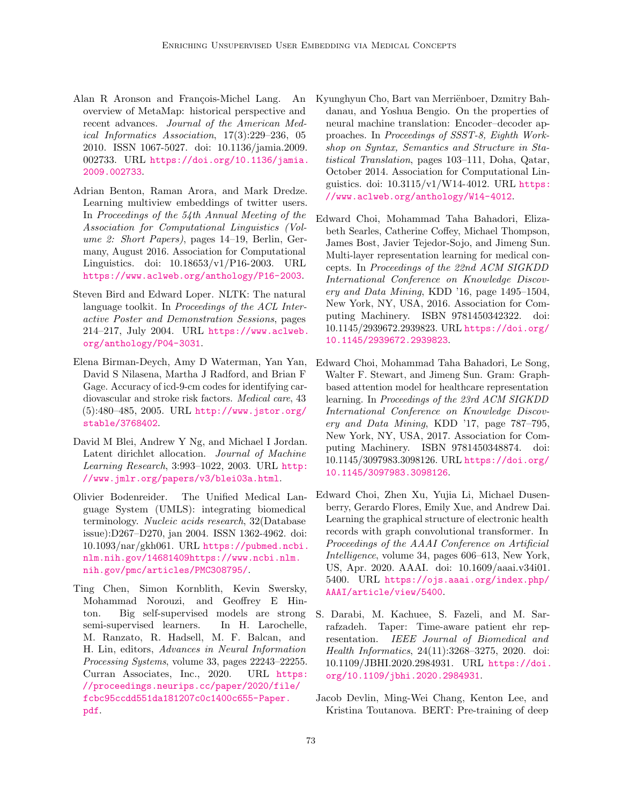- <span id="page-10-7"></span>Alan R Aronson and François-Michel Lang. An overview of MetaMap: historical perspective and recent advances. Journal of the American Medical Informatics Association, 17(3):229–236, 05 2010. ISSN 1067-5027. doi: 10.1136/jamia.2009. 002733. URL [https://doi.org/10.1136/jamia.](https://doi.org/10.1136/jamia.2009.002733) [2009.002733](https://doi.org/10.1136/jamia.2009.002733).
- <span id="page-10-12"></span>Adrian Benton, Raman Arora, and Mark Dredze. Learning multiview embeddings of twitter users. In Proceedings of the 54th Annual Meeting of the Association for Computational Linguistics (Volume 2: Short Papers), pages 14–19, Berlin, Germany, August 2016. Association for Computational Linguistics. doi: 10.18653/v1/P16-2003. URL <https://www.aclweb.org/anthology/P16-2003>.
- <span id="page-10-9"></span>Steven Bird and Edward Loper. NLTK: The natural language toolkit. In Proceedings of the ACL Interactive Poster and Demonstration Sessions, pages 214–217, July 2004. URL [https://www.aclweb.](https://www.aclweb.org/anthology/P04-3031) [org/anthology/P04-3031](https://www.aclweb.org/anthology/P04-3031).
- <span id="page-10-3"></span>Elena Birman-Deych, Amy D Waterman, Yan Yan, David S Nilasena, Martha J Radford, and Brian F Gage. Accuracy of icd-9-cm codes for identifying cardiovascular and stroke risk factors. Medical care, 43 (5):480–485, 2005. URL [http://www.jstor.org/](http://www.jstor.org/stable/3768402) [stable/3768402](http://www.jstor.org/stable/3768402).
- <span id="page-10-4"></span>David M Blei, Andrew Y Ng, and Michael I Jordan. Latent dirichlet allocation. Journal of Machine Learning Research, 3:993–1022, 2003. URL [http:](http://www.jmlr.org/papers/v3/blei03a.html) [//www.jmlr.org/papers/v3/blei03a.html](http://www.jmlr.org/papers/v3/blei03a.html).
- <span id="page-10-8"></span>Olivier Bodenreider. The Unified Medical Language System (UMLS): integrating biomedical terminology. Nucleic acids research, 32(Database issue):D267–D270, jan 2004. ISSN 1362-4962. doi: 10.1093/nar/gkh061. URL [https://pubmed.ncbi.](https://pubmed.ncbi.nlm.nih.gov/14681409 https://www.ncbi.nlm.nih.gov/pmc/articles/PMC308795/) [nlm.nih.gov/14681409https://www.ncbi.nlm.](https://pubmed.ncbi.nlm.nih.gov/14681409 https://www.ncbi.nlm.nih.gov/pmc/articles/PMC308795/) [nih.gov/pmc/articles/PMC308795/](https://pubmed.ncbi.nlm.nih.gov/14681409 https://www.ncbi.nlm.nih.gov/pmc/articles/PMC308795/).
- <span id="page-10-6"></span>Ting Chen, Simon Kornblith, Kevin Swersky, Mohammad Norouzi, and Geoffrey E Hinton. Big self-supervised models are strong semi-supervised learners. In H. Larochelle, M. Ranzato, R. Hadsell, M. F. Balcan, and H. Lin, editors, Advances in Neural Information Processing Systems, volume 33, pages 22243–22255. Curran Associates, Inc., 2020. URL [https:](https://proceedings.neurips.cc/paper/2020/file/fcbc95ccdd551da181207c0c1400c655-Paper.pdf) [//proceedings.neurips.cc/paper/2020/file/](https://proceedings.neurips.cc/paper/2020/file/fcbc95ccdd551da181207c0c1400c655-Paper.pdf) [fcbc95ccdd551da181207c0c1400c655-Paper.](https://proceedings.neurips.cc/paper/2020/file/fcbc95ccdd551da181207c0c1400c655-Paper.pdf) [pdf](https://proceedings.neurips.cc/paper/2020/file/fcbc95ccdd551da181207c0c1400c655-Paper.pdf).
- <span id="page-10-11"></span>Kyunghyun Cho, Bart van Merriënboer, Dzmitry Bahdanau, and Yoshua Bengio. On the properties of neural machine translation: Encoder–decoder approaches. In Proceedings of SSST-8, Eighth Workshop on Syntax, Semantics and Structure in Statistical Translation, pages 103–111, Doha, Qatar, October 2014. Association for Computational Linguistics. doi: 10.3115/v1/W14-4012. URL [https:](https://www.aclweb.org/anthology/W14-4012) [//www.aclweb.org/anthology/W14-4012](https://www.aclweb.org/anthology/W14-4012).
- <span id="page-10-0"></span>Edward Choi, Mohammad Taha Bahadori, Elizabeth Searles, Catherine Coffey, Michael Thompson, James Bost, Javier Tejedor-Sojo, and Jimeng Sun. Multi-layer representation learning for medical concepts. In Proceedings of the 22nd ACM SIGKDD International Conference on Knowledge Discovery and Data Mining, KDD '16, page 1495–1504, New York, NY, USA, 2016. Association for Computing Machinery. ISBN 9781450342322. doi: 10.1145/2939672.2939823. URL [https://doi.org/](https://doi.org/10.1145/2939672.2939823) [10.1145/2939672.2939823](https://doi.org/10.1145/2939672.2939823).
- <span id="page-10-1"></span>Edward Choi, Mohammad Taha Bahadori, Le Song, Walter F. Stewart, and Jimeng Sun. Gram: Graphbased attention model for healthcare representation learning. In Proceedings of the 23rd ACM SIGKDD International Conference on Knowledge Discovery and Data Mining, KDD '17, page 787–795, New York, NY, USA, 2017. Association for Computing Machinery. ISBN 9781450348874. doi: 10.1145/3097983.3098126. URL [https://doi.org/](https://doi.org/10.1145/3097983.3098126) [10.1145/3097983.3098126](https://doi.org/10.1145/3097983.3098126).
- <span id="page-10-5"></span>Edward Choi, Zhen Xu, Yujia Li, Michael Dusenberry, Gerardo Flores, Emily Xue, and Andrew Dai. Learning the graphical structure of electronic health records with graph convolutional transformer. In Proceedings of the AAAI Conference on Artificial Intelligence, volume 34, pages 606–613, New York, US, Apr. 2020. AAAI. doi: 10.1609/aaai.v34i01. 5400. URL [https://ojs.aaai.org/index.php/](https://ojs.aaai.org/index.php/AAAI/article/view/5400) [AAAI/article/view/5400](https://ojs.aaai.org/index.php/AAAI/article/view/5400).
- <span id="page-10-2"></span>S. Darabi, M. Kachuee, S. Fazeli, and M. Sarrafzadeh. Taper: Time-aware patient ehr representation. IEEE Journal of Biomedical and Health Informatics, 24(11):3268–3275, 2020. doi: 10.1109/JBHI.2020.2984931. URL [https://doi.](https://doi.org/10.1109/jbhi.2020.2984931) [org/10.1109/jbhi.2020.2984931](https://doi.org/10.1109/jbhi.2020.2984931).
- <span id="page-10-10"></span>Jacob Devlin, Ming-Wei Chang, Kenton Lee, and Kristina Toutanova. BERT: Pre-training of deep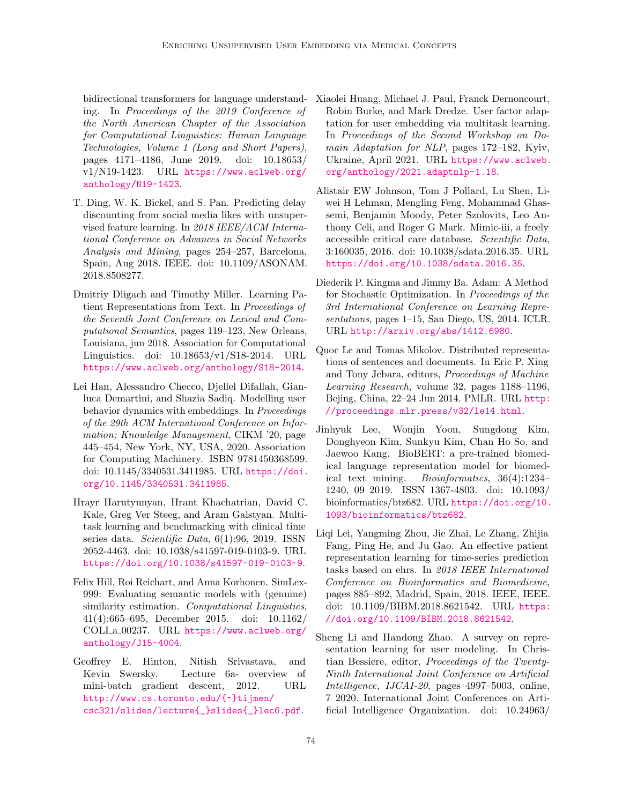bidirectional transformers for language understanding. In Proceedings of the 2019 Conference of the North American Chapter of the Association for Computational Linguistics: Human Language Technologies, Volume 1 (Long and Short Papers), pages 4171–4186, June 2019. doi: 10.18653/ v1/N19-1423. URL [https://www.aclweb.org/](https://www.aclweb.org/anthology/N19-1423) [anthology/N19-1423](https://www.aclweb.org/anthology/N19-1423).

- <span id="page-11-8"></span>T. Ding, W. K. Bickel, and S. Pan. Predicting delay discounting from social media likes with unsupervised feature learning. In 2018 IEEE/ACM International Conference on Advances in Social Networks Analysis and Mining, pages 254–257, Barcelona, Spain, Aug 2018. IEEE. doi: 10.1109/ASONAM. 2018.8508277.
- <span id="page-11-5"></span>Dmitriy Dligach and Timothy Miller. Learning Patient Representations from Text. In Proceedings of the Seventh Joint Conference on Lexical and Computational Semantics, pages 119–123, New Orleans, Louisiana, jun 2018. Association for Computational Linguistics. doi: 10.18653/v1/S18-2014. URL <https://www.aclweb.org/anthology/S18-2014>.
- <span id="page-11-12"></span>Lei Han, Alessandro Checco, Djellel Difallah, Gianluca Demartini, and Shazia Sadiq. Modelling user behavior dynamics with embeddings. In Proceedings of the 29th ACM International Conference on Information; Knowledge Management, CIKM '20, page 445–454, New York, NY, USA, 2020. Association for Computing Machinery. ISBN 9781450368599. doi: 10.1145/3340531.3411985. URL [https://doi.](https://doi.org/10.1145/3340531.3411985) [org/10.1145/3340531.3411985](https://doi.org/10.1145/3340531.3411985).
- <span id="page-11-2"></span>Hrayr Harutyunyan, Hrant Khachatrian, David C. Kale, Greg Ver Steeg, and Aram Galstyan. Multitask learning and benchmarking with clinical time series data. Scientific Data, 6(1):96, 2019. ISSN 2052-4463. doi: 10.1038/s41597-019-0103-9. URL <https://doi.org/10.1038/s41597-019-0103-9>.
- <span id="page-11-11"></span>Felix Hill, Roi Reichart, and Anna Korhonen. SimLex-999: Evaluating semantic models with (genuine) similarity estimation. Computational Linguistics, 41(4):665–695, December 2015. doi: 10.1162/ COLI a 00237. URL [https://www.aclweb.org/](https://www.aclweb.org/anthology/J15-4004) [anthology/J15-4004](https://www.aclweb.org/anthology/J15-4004).
- <span id="page-11-6"></span>Geoffrey E. Hinton, Nitish Srivastava, and Kevin Swersky. Lecture 6a- overview of mini-batch gradient descent, 2012. URL [http://www.cs.toronto.edu/{~}tijmen/](http://www.cs.toronto.edu/{~}tijmen/csc321/slides/lecture{_}slides{_}lec6.pdf) [csc321/slides/lecture{\\_}slides{\\_}lec6.pdf](http://www.cs.toronto.edu/{~}tijmen/csc321/slides/lecture{_}slides{_}lec6.pdf).
- <span id="page-11-9"></span>Xiaolei Huang, Michael J. Paul, Franck Dernoncourt, Robin Burke, and Mark Dredze. User factor adaptation for user embedding via multitask learning. In Proceedings of the Second Workshop on Domain Adaptation for NLP, pages 172–182, Kyiv, Ukraine, April 2021. URL [https://www.aclweb.](https://www.aclweb.org/anthology/2021.adaptnlp-1.18) [org/anthology/2021.adaptnlp-1.18](https://www.aclweb.org/anthology/2021.adaptnlp-1.18).
- <span id="page-11-0"></span>Alistair EW Johnson, Tom J Pollard, Lu Shen, Liwei H Lehman, Mengling Feng, Mohammad Ghassemi, Benjamin Moody, Peter Szolovits, Leo Anthony Celi, and Roger G Mark. Mimic-iii, a freely accessible critical care database. Scientific Data, 3:160035, 2016. doi: 10.1038/sdata.2016.35. URL <https://doi.org/10.1038/sdata.2016.35>.
- <span id="page-11-10"></span>Diederik P. Kingma and Jimmy Ba. Adam: A Method for Stochastic Optimization. In Proceedings of the 3rd International Conference on Learning Representations, pages 1–15, San Diego, US, 2014. ICLR. URL <http://arxiv.org/abs/1412.6980>.
- <span id="page-11-3"></span>Quoc Le and Tomas Mikolov. Distributed representations of sentences and documents. In Eric P. Xing and Tony Jebara, editors, Proceedings of Machine Learning Research, volume 32, pages 1188–1196, Bejing, China, 22–24 Jun 2014. PMLR. URL [http:](http://proceedings.mlr.press/v32/le14.html) [//proceedings.mlr.press/v32/le14.html](http://proceedings.mlr.press/v32/le14.html).
- <span id="page-11-7"></span>Jinhyuk Lee, Wonjin Yoon, Sungdong Kim, Donghyeon Kim, Sunkyu Kim, Chan Ho So, and Jaewoo Kang. BioBERT: a pre-trained biomedical language representation model for biomedical text mining. Bioinformatics, 36(4):1234– 1240, 09 2019. ISSN 1367-4803. doi: 10.1093/ bioinformatics/btz682. URL [https://doi.org/10.](https://doi.org/10.1093/bioinformatics/btz682) [1093/bioinformatics/btz682](https://doi.org/10.1093/bioinformatics/btz682).
- <span id="page-11-4"></span>Liqi Lei, Yangming Zhou, Jie Zhai, Le Zhang, Zhijia Fang, Ping He, and Ju Gao. An effective patient representation learning for time-series prediction tasks based on ehrs. In 2018 IEEE International Conference on Bioinformatics and Biomedicine, pages 885–892, Madrid, Spain, 2018. IEEE, IEEE. doi: 10.1109/BIBM.2018.8621542. URL [https:](https://doi.org/10.1109/BIBM.2018.8621542) [//doi.org/10.1109/BIBM.2018.8621542](https://doi.org/10.1109/BIBM.2018.8621542).
- <span id="page-11-1"></span>Sheng Li and Handong Zhao. A survey on representation learning for user modeling. In Christian Bessiere, editor, Proceedings of the Twenty-Ninth International Joint Conference on Artificial Intelligence, IJCAI-20, pages 4997–5003, online, 7 2020. International Joint Conferences on Artificial Intelligence Organization. doi: 10.24963/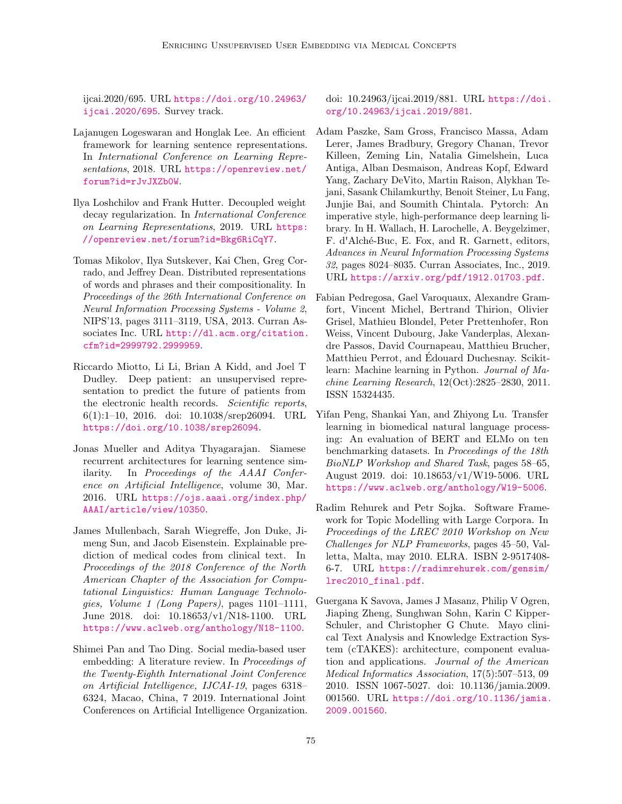ijcai.2020/695. URL [https://doi.org/10.24963/](https://doi.org/10.24963/ijcai.2020/695) [ijcai.2020/695](https://doi.org/10.24963/ijcai.2020/695). Survey track.

- <span id="page-12-2"></span>Lajanugen Logeswaran and Honglak Lee. An efficient framework for learning sentence representations. In International Conference on Learning Representations, 2018. URL [https://openreview.net/](https://openreview.net/forum?id=rJvJXZb0W) [forum?id=rJvJXZb0W](https://openreview.net/forum?id=rJvJXZb0W).
- <span id="page-12-6"></span>Ilya Loshchilov and Frank Hutter. Decoupled weight decay regularization. In International Conference on Learning Representations, 2019. URL [https:](https://openreview.net/forum?id=Bkg6RiCqY7) [//openreview.net/forum?id=Bkg6RiCqY7](https://openreview.net/forum?id=Bkg6RiCqY7).
- <span id="page-12-1"></span>Tomas Mikolov, Ilya Sutskever, Kai Chen, Greg Corrado, and Jeffrey Dean. Distributed representations of words and phrases and their compositionality. In Proceedings of the 26th International Conference on Neural Information Processing Systems - Volume 2, NIPS'13, pages 3111–3119, USA, 2013. Curran Associates Inc. URL [http://dl.acm.org/citation.](http://dl.acm.org/citation.cfm?id=2999792.2999959) [cfm?id=2999792.2999959](http://dl.acm.org/citation.cfm?id=2999792.2999959).
- <span id="page-12-8"></span>Riccardo Miotto, Li Li, Brian A Kidd, and Joel T Dudley. Deep patient: an unsupervised representation to predict the future of patients from the electronic health records. Scientific reports,  $6(1):1-10$ , 2016. doi:  $10.1038/\text{srep}26094$ . URL <https://doi.org/10.1038/srep26094>.
- <span id="page-12-9"></span>Jonas Mueller and Aditya Thyagarajan. Siamese recurrent architectures for learning sentence similarity. In Proceedings of the AAAI Conference on Artificial Intelligence, volume 30, Mar. 2016. URL [https://ojs.aaai.org/index.php/](https://ojs.aaai.org/index.php/AAAI/article/view/10350) [AAAI/article/view/10350](https://ojs.aaai.org/index.php/AAAI/article/view/10350).
- <span id="page-12-3"></span>James Mullenbach, Sarah Wiegreffe, Jon Duke, Jimeng Sun, and Jacob Eisenstein. Explainable prediction of medical codes from clinical text. In Proceedings of the 2018 Conference of the North American Chapter of the Association for Computational Linguistics: Human Language Technologies, Volume 1 (Long Papers), pages 1101–1111, June 2018. doi: 10.18653/v1/N18-1100. URL <https://www.aclweb.org/anthology/N18-1100>.
- <span id="page-12-0"></span>Shimei Pan and Tao Ding. Social media-based user embedding: A literature review. In Proceedings of the Twenty-Eighth International Joint Conference on Artificial Intelligence, IJCAI-19, pages 6318– 6324, Macao, China, 7 2019. International Joint Conferences on Artificial Intelligence Organization.

doi: 10.24963/ijcai.2019/881. URL [https://doi.](https://doi.org/10.24963/ijcai.2019/881) [org/10.24963/ijcai.2019/881](https://doi.org/10.24963/ijcai.2019/881).

- <span id="page-12-10"></span>Adam Paszke, Sam Gross, Francisco Massa, Adam Lerer, James Bradbury, Gregory Chanan, Trevor Killeen, Zeming Lin, Natalia Gimelshein, Luca Antiga, Alban Desmaison, Andreas Kopf, Edward Yang, Zachary DeVito, Martin Raison, Alykhan Tejani, Sasank Chilamkurthy, Benoit Steiner, Lu Fang, Junjie Bai, and Soumith Chintala. Pytorch: An imperative style, high-performance deep learning library. In H. Wallach, H. Larochelle, A. Beygelzimer, F. d'Alché-Buc, E. Fox, and R. Garnett, editors, Advances in Neural Information Processing Systems 32, pages 8024–8035. Curran Associates, Inc., 2019. URL <https://arxiv.org/pdf/1912.01703.pdf>.
- <span id="page-12-11"></span>Fabian Pedregosa, Gael Varoquaux, Alexandre Gramfort, Vincent Michel, Bertrand Thirion, Olivier Grisel, Mathieu Blondel, Peter Prettenhofer, Ron Weiss, Vincent Dubourg, Jake Vanderplas, Alexandre Passos, David Cournapeau, Matthieu Brucher, Matthieu Perrot, and Edouard Duchesnay. Scikit- ´ learn: Machine learning in Python. Journal of Machine Learning Research, 12(Oct):2825–2830, 2011. ISSN 15324435.
- <span id="page-12-5"></span>Yifan Peng, Shankai Yan, and Zhiyong Lu. Transfer learning in biomedical natural language processing: An evaluation of BERT and ELMo on ten benchmarking datasets. In Proceedings of the 18th BioNLP Workshop and Shared Task, pages 58–65, August 2019. doi: 10.18653/v1/W19-5006. URL <https://www.aclweb.org/anthology/W19-5006>.
- <span id="page-12-7"></span>Radim Rehurek and Petr Sojka. Software Framework for Topic Modelling with Large Corpora. In Proceedings of the LREC 2010 Workshop on New Challenges for NLP Frameworks, pages 45–50, Valletta, Malta, may 2010. ELRA. ISBN 2-9517408- 6-7. URL [https://radimrehurek.com/gensim/](https://radimrehurek.com/gensim/lrec2010_final.pdf) [lrec2010\\_final.pdf](https://radimrehurek.com/gensim/lrec2010_final.pdf).
- <span id="page-12-4"></span>Guergana K Savova, James J Masanz, Philip V Ogren, Jiaping Zheng, Sunghwan Sohn, Karin C Kipper-Schuler, and Christopher G Chute. Mayo clinical Text Analysis and Knowledge Extraction System (cTAKES): architecture, component evaluation and applications. Journal of the American Medical Informatics Association, 17(5):507–513, 09 2010. ISSN 1067-5027. doi: 10.1136/jamia.2009. 001560. URL [https://doi.org/10.1136/jamia.](https://doi.org/10.1136/jamia.2009.001560) [2009.001560](https://doi.org/10.1136/jamia.2009.001560).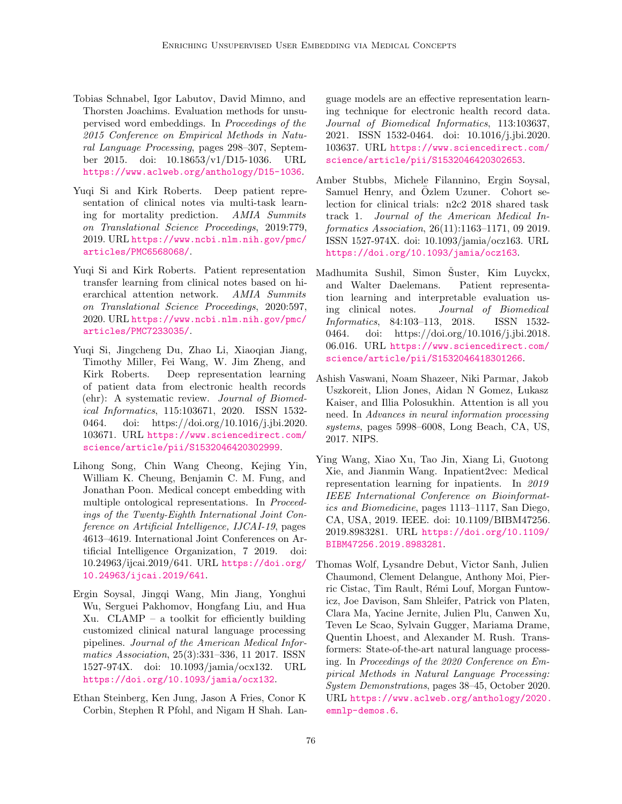- <span id="page-13-4"></span>Tobias Schnabel, Igor Labutov, David Mimno, and Thorsten Joachims. Evaluation methods for unsupervised word embeddings. In Proceedings of the 2015 Conference on Empirical Methods in Natural Language Processing, pages 298–307, September 2015. doi: 10.18653/v1/D15-1036. URL <https://www.aclweb.org/anthology/D15-1036>.
- <span id="page-13-9"></span>Yuqi Si and Kirk Roberts. Deep patient representation of clinical notes via multi-task learning for mortality prediction. AMIA Summits on Translational Science Proceedings, 2019:779, 2019. URL [https://www.ncbi.nlm.nih.gov/pmc/](https://www.ncbi.nlm.nih.gov/pmc/articles/PMC6568068/) [articles/PMC6568068/](https://www.ncbi.nlm.nih.gov/pmc/articles/PMC6568068/).
- <span id="page-13-1"></span>Yuqi Si and Kirk Roberts. Patient representation transfer learning from clinical notes based on hierarchical attention network. AMIA Summits on Translational Science Proceedings, 2020:597, 2020. URL [https://www.ncbi.nlm.nih.gov/pmc/](https://www.ncbi.nlm.nih.gov/pmc/articles/PMC7233035/) [articles/PMC7233035/](https://www.ncbi.nlm.nih.gov/pmc/articles/PMC7233035/).
- <span id="page-13-6"></span>Yuqi Si, Jingcheng Du, Zhao Li, Xiaoqian Jiang, Timothy Miller, Fei Wang, W. Jim Zheng, and Kirk Roberts. Deep representation learning of patient data from electronic health records (ehr): A systematic review. Journal of Biomedical Informatics, 115:103671, 2020. ISSN 1532- 0464. doi: https://doi.org/10.1016/j.jbi.2020. 103671. URL [https://www.sciencedirect.com/](https://www.sciencedirect.com/science/article/pii/S1532046420302999) [science/article/pii/S1532046420302999](https://www.sciencedirect.com/science/article/pii/S1532046420302999).
- <span id="page-13-10"></span>Lihong Song, Chin Wang Cheong, Kejing Yin, William K. Cheung, Benjamin C. M. Fung, and Jonathan Poon. Medical concept embedding with multiple ontological representations. In Proceedings of the Twenty-Eighth International Joint Conference on Artificial Intelligence, IJCAI-19, pages 4613–4619. International Joint Conferences on Artificial Intelligence Organization, 7 2019. doi: 10.24963/ijcai.2019/641. URL [https://doi.org/](https://doi.org/10.24963/ijcai.2019/641) [10.24963/ijcai.2019/641](https://doi.org/10.24963/ijcai.2019/641).
- <span id="page-13-5"></span>Ergin Soysal, Jingqi Wang, Min Jiang, Yonghui Wu, Serguei Pakhomov, Hongfang Liu, and Hua Xu. CLAMP – a toolkit for efficiently building customized clinical natural language processing pipelines. Journal of the American Medical Informatics Association, 25(3):331–336, 11 2017. ISSN 1527-974X. doi: 10.1093/jamia/ocx132. URL <https://doi.org/10.1093/jamia/ocx132>.
- <span id="page-13-7"></span>Ethan Steinberg, Ken Jung, Jason A Fries, Conor K Corbin, Stephen R Pfohl, and Nigam H Shah. Lan-

guage models are an effective representation learning technique for electronic health record data. Journal of Biomedical Informatics, 113:103637, 2021. ISSN 1532-0464. doi: 10.1016/j.jbi.2020. 103637. URL [https://www.sciencedirect.com/](https://www.sciencedirect.com/science/article/pii/S1532046420302653) [science/article/pii/S1532046420302653](https://www.sciencedirect.com/science/article/pii/S1532046420302653).

- <span id="page-13-0"></span>Amber Stubbs, Michele Filannino, Ergin Soysal, Samuel Henry, and Ozlem Uzuner. Cohort selection for clinical trials: n2c2 2018 shared task track 1. Journal of the American Medical Informatics Association, 26(11):1163–1171, 09 2019. ISSN 1527-974X. doi: 10.1093/jamia/ocz163. URL <https://doi.org/10.1093/jamia/ocz163>.
- <span id="page-13-3"></span>Madhumita Sushil, Simon Suster, Kim Luyckx, and Walter Daelemans. Patient representation learning and interpretable evaluation using clinical notes. Journal of Biomedical Informatics, 84:103–113, 2018. ISSN 1532- 0464. doi: https://doi.org/10.1016/j.jbi.2018. 06.016. URL [https://www.sciencedirect.com/](https://www.sciencedirect.com/science/article/pii/S1532046418301266) [science/article/pii/S1532046418301266](https://www.sciencedirect.com/science/article/pii/S1532046418301266).
- <span id="page-13-8"></span>Ashish Vaswani, Noam Shazeer, Niki Parmar, Jakob Uszkoreit, Llion Jones, Aidan N Gomez, Lukasz Kaiser, and Illia Polosukhin. Attention is all you need. In Advances in neural information processing systems, pages 5998–6008, Long Beach, CA, US, 2017. NIPS.
- <span id="page-13-2"></span>Ying Wang, Xiao Xu, Tao Jin, Xiang Li, Guotong Xie, and Jianmin Wang. Inpatient2vec: Medical representation learning for inpatients. In 2019 IEEE International Conference on Bioinformatics and Biomedicine, pages 1113–1117, San Diego, CA, USA, 2019. IEEE. doi: 10.1109/BIBM47256. 2019.8983281. URL [https://doi.org/10.1109/](https://doi.org/10.1109/BIBM47256.2019.8983281) [BIBM47256.2019.8983281](https://doi.org/10.1109/BIBM47256.2019.8983281).
- <span id="page-13-11"></span>Thomas Wolf, Lysandre Debut, Victor Sanh, Julien Chaumond, Clement Delangue, Anthony Moi, Pierric Cistac, Tim Rault, Rémi Louf, Morgan Funtowicz, Joe Davison, Sam Shleifer, Patrick von Platen, Clara Ma, Yacine Jernite, Julien Plu, Canwen Xu, Teven Le Scao, Sylvain Gugger, Mariama Drame, Quentin Lhoest, and Alexander M. Rush. Transformers: State-of-the-art natural language processing. In Proceedings of the 2020 Conference on Empirical Methods in Natural Language Processing: System Demonstrations, pages 38–45, October 2020. URL [https://www.aclweb.org/anthology/2020.](https://www.aclweb.org/anthology/2020.emnlp-demos.6) [emnlp-demos.6](https://www.aclweb.org/anthology/2020.emnlp-demos.6).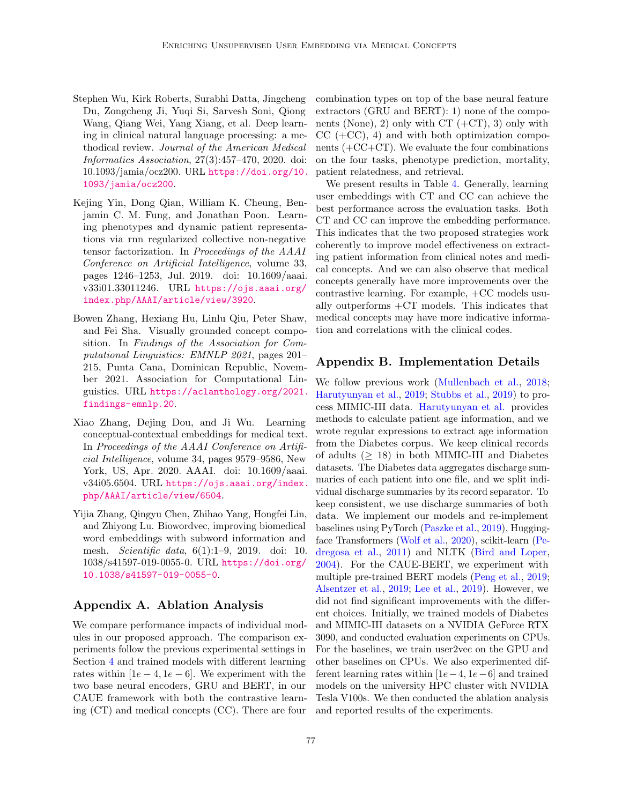- <span id="page-14-3"></span>Stephen Wu, Kirk Roberts, Surabhi Datta, Jingcheng Du, Zongcheng Ji, Yuqi Si, Sarvesh Soni, Qiong Wang, Qiang Wei, Yang Xiang, et al. Deep learning in clinical natural language processing: a methodical review. Journal of the American Medical Informatics Association, 27(3):457–470, 2020. doi: 10.1093/jamia/ocz200. URL [https://doi.org/10.](https://doi.org/10.1093/jamia/ocz200) [1093/jamia/ocz200](https://doi.org/10.1093/jamia/ocz200).
- <span id="page-14-2"></span>Kejing Yin, Dong Qian, William K. Cheung, Benjamin C. M. Fung, and Jonathan Poon. Learning phenotypes and dynamic patient representations via rnn regularized collective non-negative tensor factorization. In Proceedings of the AAAI Conference on Artificial Intelligence, volume 33, pages 1246–1253, Jul. 2019. doi: 10.1609/aaai. v33i01.33011246. URL [https://ojs.aaai.org/](https://ojs.aaai.org/index.php/AAAI/article/view/3920) [index.php/AAAI/article/view/3920](https://ojs.aaai.org/index.php/AAAI/article/view/3920).
- <span id="page-14-4"></span>Bowen Zhang, Hexiang Hu, Linlu Qiu, Peter Shaw, and Fei Sha. Visually grounded concept composition. In Findings of the Association for Computational Linguistics: EMNLP 2021, pages 201– 215, Punta Cana, Dominican Republic, November 2021. Association for Computational Linguistics. URL [https://aclanthology.org/2021.](https://aclanthology.org/2021.findings-emnlp.20) [findings-emnlp.20](https://aclanthology.org/2021.findings-emnlp.20).
- <span id="page-14-0"></span>Xiao Zhang, Dejing Dou, and Ji Wu. Learning conceptual-contextual embeddings for medical text. In Proceedings of the AAAI Conference on Artificial Intelligence, volume 34, pages 9579–9586, New York, US, Apr. 2020. AAAI. doi: 10.1609/aaai. v34i05.6504. URL [https://ojs.aaai.org/index.](https://ojs.aaai.org/index.php/AAAI/article/view/6504) [php/AAAI/article/view/6504](https://ojs.aaai.org/index.php/AAAI/article/view/6504).
- <span id="page-14-1"></span>Yijia Zhang, Qingyu Chen, Zhihao Yang, Hongfei Lin, and Zhiyong Lu. Biowordvec, improving biomedical word embeddings with subword information and mesh. Scientific data, 6(1):1–9, 2019. doi: 10. 1038/s41597-019-0055-0. URL [https://doi.org/](https://doi.org/10.1038/s41597-019-0055-0) [10.1038/s41597-019-0055-0](https://doi.org/10.1038/s41597-019-0055-0).

### Appendix A. Ablation Analysis

We compare performance impacts of individual modules in our proposed approach. The comparison experiments follow the previous experimental settings in Section [4](#page-4-0) and trained models with different learning rates within  $[1e - 4, 1e - 6]$ . We experiment with the two base neural encoders, GRU and BERT, in our CAUE framework with both the contrastive learning (CT) and medical concepts (CC). There are four combination types on top of the base neural feature extractors (GRU and BERT): 1) none of the components (None), 2) only with  $CT$  (+CT), 3) only with  $CC$  (+CC), 4) and with both optimization components  $(+CC+CT)$ . We evaluate the four combinations on the four tasks, phenotype prediction, mortality, patient relatedness, and retrieval.

We present results in Table [4.](#page-15-1) Generally, learning user embeddings with CT and CC can achieve the best performance across the evaluation tasks. Both CT and CC can improve the embedding performance. This indicates that the two proposed strategies work coherently to improve model effectiveness on extracting patient information from clinical notes and medical concepts. And we can also observe that medical concepts generally have more improvements over the contrastive learning. For example, +CC models usually outperforms +CT models. This indicates that medical concepts may have more indicative information and correlations with the clinical codes.

### Appendix B. Implementation Details

We follow previous work [\(Mullenbach et al.,](#page-12-3) [2018;](#page-12-3) [Harutyunyan et al.,](#page-11-2) [2019;](#page-11-2) [Stubbs et al.,](#page-13-0) [2019\)](#page-13-0) to process MIMIC-III data. [Harutyunyan et al.](#page-11-2) provides methods to calculate patient age information, and we wrote regular expressions to extract age information from the Diabetes corpus. We keep clinical records of adults  $(≥ 18)$  in both MIMIC-III and Diabetes datasets. The Diabetes data aggregates discharge summaries of each patient into one file, and we split individual discharge summaries by its record separator. To keep consistent, we use discharge summaries of both data. We implement our models and re-implement baselines using PyTorch [\(Paszke et al.,](#page-12-10) [2019\)](#page-12-10), Huggingface Transformers [\(Wolf et al.,](#page-13-11) [2020\)](#page-13-11), scikit-learn [\(Pe](#page-12-11)[dregosa et al.,](#page-12-11) [2011\)](#page-12-11) and NLTK [\(Bird and Loper,](#page-10-9) [2004\)](#page-10-9). For the CAUE-BERT, we experiment with multiple pre-trained BERT models [\(Peng et al.,](#page-12-5) [2019;](#page-12-5) [Alsentzer et al.,](#page-9-1) [2019;](#page-9-1) [Lee et al.,](#page-11-7) [2019\)](#page-11-7). However, we did not find significant improvements with the different choices. Initially, we trained models of Diabetes and MIMIC-III datasets on a NVIDIA GeForce RTX 3090, and conducted evaluation experiments on CPUs. For the baselines, we train user2vec on the GPU and other baselines on CPUs. We also experimented different learning rates within  $[1e-4, 1e-6]$  and trained models on the university HPC cluster with NVIDIA Tesla V100s. We then conducted the ablation analysis and reported results of the experiments.